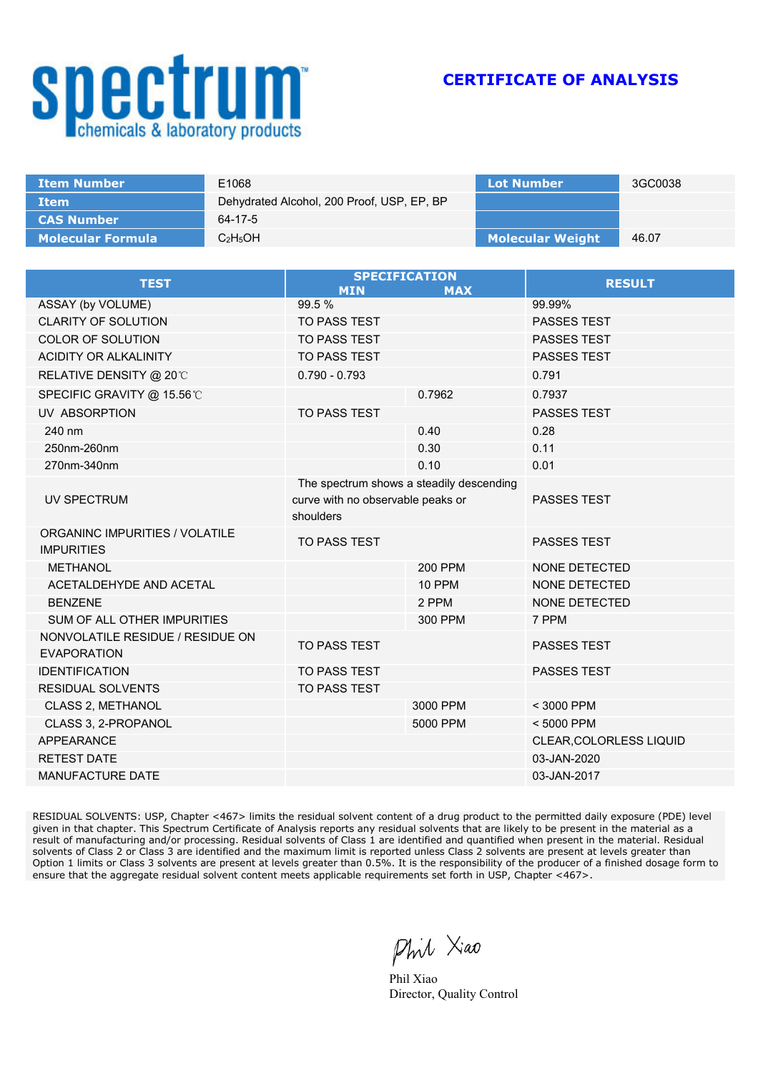## **Spectrum**

**CERTIFICATE OF ANALYSIS**

| <b>Item Number</b>       | E1068                                      | <b>Lot Number</b>       | 3GC0038 |
|--------------------------|--------------------------------------------|-------------------------|---------|
| <b>Item</b>              | Dehydrated Alcohol, 200 Proof, USP, EP, BP |                         |         |
| <b>CAS Number</b>        | 64-17-5                                    |                         |         |
| <b>Molecular Formula</b> | $C_2H_5OH$                                 | <b>Molecular Weight</b> | 46.07   |

| <b>TEST</b>                                            | <b>SPECIFICATION</b><br><b>MIN</b>                                   | <b>MAX</b>     | <b>RESULT</b>           |
|--------------------------------------------------------|----------------------------------------------------------------------|----------------|-------------------------|
| ASSAY (by VOLUME)                                      | 99.5%                                                                |                | 99.99%                  |
| <b>CLARITY OF SOLUTION</b>                             | <b>TO PASS TEST</b>                                                  |                | <b>PASSES TEST</b>      |
| <b>COLOR OF SOLUTION</b>                               | <b>TO PASS TEST</b>                                                  |                | <b>PASSES TEST</b>      |
| <b>ACIDITY OR ALKALINITY</b>                           | TO PASS TEST                                                         |                | PASSES TEST             |
| <b>RELATIVE DENSITY @ 20℃</b>                          | $0.790 - 0.793$                                                      |                | 0.791                   |
| SPECIFIC GRAVITY @ 15.56℃                              |                                                                      | 0.7962         | 0.7937                  |
| UV ABSORPTION                                          | <b>TO PASS TEST</b>                                                  |                | <b>PASSES TEST</b>      |
| 240 nm                                                 |                                                                      | 0.40           | 0.28                    |
| 250nm-260nm                                            |                                                                      | 0.30           | 0.11                    |
| 270nm-340nm                                            |                                                                      | 0.10           | 0.01                    |
|                                                        | The spectrum shows a steadily descending                             |                |                         |
| UV SPECTRUM                                            | <b>PASSES TEST</b><br>curve with no observable peaks or<br>shoulders |                |                         |
| ORGANINC IMPURITIES / VOLATILE<br><b>IMPURITIES</b>    | <b>TO PASS TEST</b>                                                  |                | <b>PASSES TEST</b>      |
| <b>METHANOL</b>                                        |                                                                      | <b>200 PPM</b> | <b>NONE DETECTED</b>    |
| ACETALDEHYDE AND ACETAL                                |                                                                      | <b>10 PPM</b>  | <b>NONE DETECTED</b>    |
| <b>BENZENE</b>                                         |                                                                      | 2 PPM          | NONE DETECTED           |
| <b>SUM OF ALL OTHER IMPURITIES</b>                     |                                                                      | 300 PPM        | 7 PPM                   |
| NONVOLATILE RESIDUE / RESIDUE ON<br><b>EVAPORATION</b> | <b>TO PASS TEST</b>                                                  |                | <b>PASSES TEST</b>      |
| <b>IDENTIFICATION</b>                                  | <b>TO PASS TEST</b>                                                  |                | PASSES TEST             |
| <b>RESIDUAL SOLVENTS</b>                               | TO PASS TEST                                                         |                |                         |
| <b>CLASS 2, METHANOL</b>                               |                                                                      | 3000 PPM       | < 3000 PPM              |
| CLASS 3, 2-PROPANOL                                    |                                                                      | 5000 PPM       | < 5000 PPM              |
| <b>APPEARANCE</b>                                      |                                                                      |                | CLEAR, COLORLESS LIQUID |
| <b>RETEST DATE</b>                                     |                                                                      |                | 03-JAN-2020             |
| <b>MANUFACTURE DATE</b>                                |                                                                      |                | 03-JAN-2017             |

RESIDUAL SOLVENTS: USP, Chapter <467> limits the residual solvent content of a drug product to the permitted daily exposure (PDE) level given in that chapter. This Spectrum Certificate of Analysis reports any residual solvents that are likely to be present in the material as a result of manufacturing and/or processing. Residual solvents of Class 1 are identified and quantified when present in the material. Residual solvents of Class 2 or Class 3 are identified and the maximum limit is reported unless Class 2 solvents are present at levels greater than Option 1 limits or Class 3 solvents are present at levels greater than 0.5%. It is the responsibility of the producer of a finished dosage form to ensure that the aggregate residual solvent content meets applicable requirements set forth in USP, Chapter <467>.

Phil Xiao

Phil Xiao Director, Quality Control